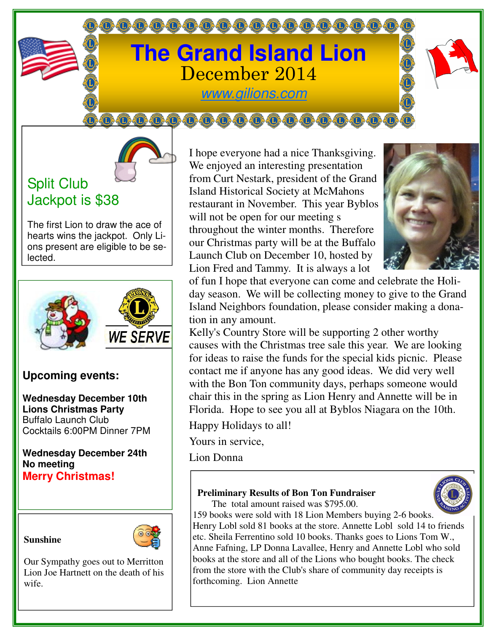# **The Grand Island Lion**  December 2014

000000000000000000

www.gilions.com

000000000000000000

## Split Club Jackpot is \$38

The first Lion to draw the ace of hearts wins the jackpot. Only Lions present are eligible to be selected.



### **Upcoming events:**

**Wednesday December 10th Lions Christmas Party**  Buffalo Launch Club Cocktails 6:00PM Dinner 7PM

**Wednesday December 24th No meeting Merry Christmas!** 





Our Sympathy goes out to Merritton Lion Joe Hartnett on the death of his wife.

I hope everyone had a nice Thanksgiving. We enjoyed an interesting presentation from Curt Nestark, president of the Grand Island Historical Society at McMahons restaurant in November. This year Byblos will not be open for our meeting s throughout the winter months. Therefore our Christmas party will be at the Buffalo Launch Club on December 10, hosted by Lion Fred and Tammy. It is always a lot



of fun I hope that everyone can come and celebrate the Holiday season. We will be collecting money to give to the Grand Island Neighbors foundation, please consider making a donation in any amount.

Kelly's Country Store will be supporting 2 other worthy causes with the Christmas tree sale this year. We are looking for ideas to raise the funds for the special kids picnic. Please contact me if anyone has any good ideas. We did very well with the Bon Ton community days, perhaps someone would chair this in the spring as Lion Henry and Annette will be in Florida. Hope to see you all at Byblos Niagara on the 10th.

Happy Holidays to all!

Yours in service,

Lion Donna

### **Preliminary Results of Bon Ton Fundraiser**



The total amount raised was \$795.00.

159 books were sold with 18 Lion Members buying 2-6 books. Henry Lobl sold 81 books at the store. Annette Lobl sold 14 to friends etc. Sheila Ferrentino sold 10 books. Thanks goes to Lions Tom W., Anne Fafning, LP Donna Lavallee, Henry and Annette Lobl who sold books at the store and all of the Lions who bought books. The check from the store with the Club's share of community day receipts is forthcoming. Lion Annette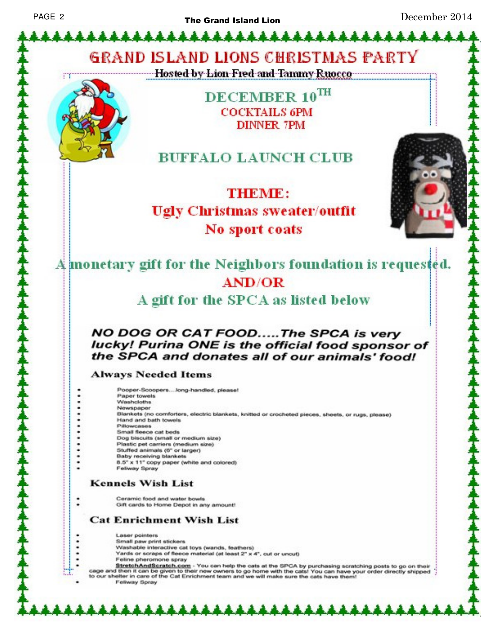\*\*\*\*\*\*\*\*\*\*\*\*\*\*\*\*\*\*\*\*\*\*\*\*\*

December 2014

**GRAND ISLAND LIONS CHRISTMAS PARTY** 

Hosted by Lion Fred and Tammy Ruocco



DECEMBER 10TH **COCKTAILS 6PM DINNER 7PM** 

### **BUFFALO LAUNCH CLUB**

THEMIES **Ugly Christmas sweater/outfit** No sport coats



A monetary gift for the Neighbors foundation is requested. **AND/OR** 

A gift for the SPCA as listed below

### NO DOG OR CAT FOOD.....The SPCA is very lucky! Purina ONE is the official food sponsor of the SPCA and donates all of our animals' food!

#### **Always Needed Items**

Pooper-Scoopers....long-handled, please! Paper towels Washcloths Newspaper Blankets (no comforters, electric blankets, knitted or crocheted pieces, sheets, or rugs, please) Hand and bath towels. Pillowcases Small fleece cat beds Dog biscuits (small or medium size) Plastic pet carriers (medium size) Stuffed animals (6" or larger) Baby receiving blankets 8.5" x 11" copy paper (white and colored) Feliway Spray

### **Kennels Wish List**

Ceramic food and water bowls Gift cards to Home Depot in any amount!

### **Cat Enrichment Wish List**

Laser pointers Small paw print stickers Washable interactive cat toys (wands, feathers) Yards or scraps of fleece material (at least 2" x 4", cut or uncut) Feline pheromone spray

\*\*\*\*\*\*\*\*\*

StretchAndScratch.com - You can help the cats at the SPCA by purchasing scratching posts to go on their<br>cage and then it can be given to their new owners to go home with the cats! You can have your order directly shipped<br>t

Feliway Spray